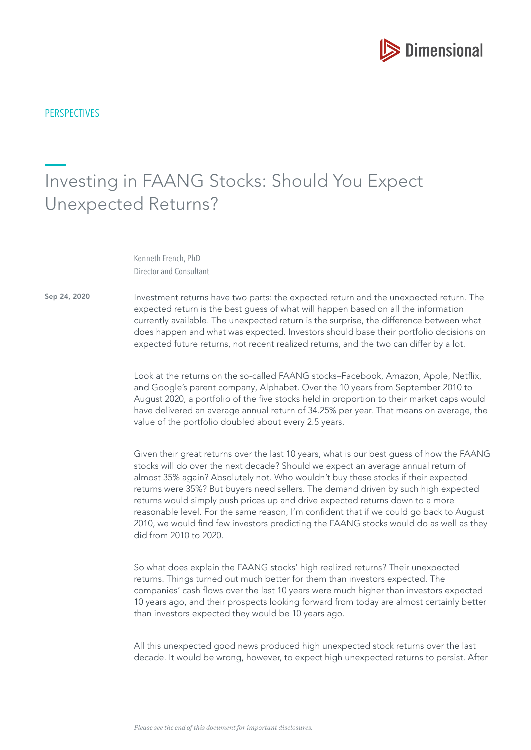

# Investing in FAANG Stocks: Should You Expect Unexpected Returns?

Kenneth French, PhD Director and Consultant

Sep 24, 2020

Investment returns have two parts: the expected return and the unexpected return. The expected return is the best guess of what will happen based on all the information currently available. The unexpected return is the surprise, the difference between what does happen and what was expected. Investors should base their portfolio decisions on expected future returns, not recent realized returns, and the two can differ by a lot.

Look at the returns on the so-called FAANG stocks–Facebook, Amazon, Apple, Netfix, and Google's parent company, Alphabet. Over the 10 years from September 2010 to August 2020, a portfolio of the fve stocks held in proportion to their market caps would have delivered an average annual return of 34.25% per year. That means on average, the value of the portfolio doubled about every 2.5 years.

Given their great returns over the last 10 years, what is our best guess of how the FAANG stocks will do over the next decade? Should we expect an average annual return of almost 35% again? Absolutely not. Who wouldn't buy these stocks if their expected returns were 35%? But buyers need sellers. The demand driven by such high expected returns would simply push prices up and drive expected returns down to a more reasonable level. For the same reason, I'm confdent that if we could go back to August 2010, we would fnd few investors predicting the FAANG stocks would do as well as they did from 2010 to 2020.

So what does explain the FAANG stocks' high realized returns? Their unexpected returns. Things turned out much better for them than investors expected. The companies' cash flows over the last 10 years were much higher than investors expected 10 years ago, and their prospects looking forward from today are almost certainly better than investors expected they would be 10 years ago.

All this unexpected good news produced high unexpected stock returns over the last decade. It would be wrong, however, to expect high unexpected returns to persist. After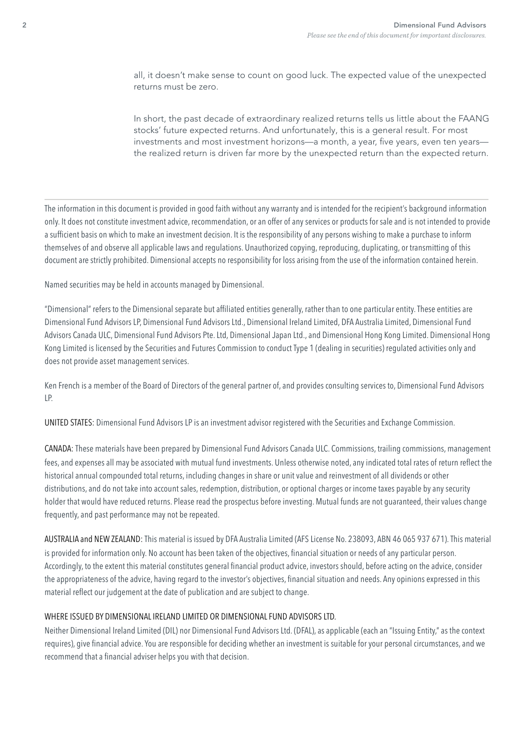all, it doesn't make sense to count on good luck. The expected value of the unexpected returns must be zero.

In short, the past decade of extraordinary realized returns tells us little about the FAANG stocks' future expected returns. And unfortunately, this is a general result. For most investments and most investment horizons—a month, a year, five years, even ten years the realized return is driven far more by the unexpected return than the expected return.

The information in this document is provided in good faith without any warranty and is intended for the recipient's background information only. It does not constitute investment advice, recommendation, or an offer of any services or products for sale and is not intended to provide a suffcient basis on which to make an investment decision. It is the responsibility of any persons wishing to make a purchase to inform themselves of and observe all applicable laws and regulations. Unauthorized copying, reproducing, duplicating, or transmitting of this document are strictly prohibited. Dimensional accepts no responsibility for loss arising from the use of the information contained herein.

Named securities may be held in accounts managed by Dimensional.

"Dimensional" refers to the Dimensional separate but affliated entities generally, rather than to one particular entity. These entities are Dimensional Fund Advisors LP, Dimensional Fund Advisors Ltd., Dimensional Ireland Limited, DFA Australia Limited, Dimensional Fund Advisors Canada ULC, Dimensional Fund Advisors Pte. Ltd, Dimensional Japan Ltd., and Dimensional Hong Kong Limited. Dimensional Hong Kong Limited is licensed by the Securities and Futures Commission to conduct Type 1 (dealing in securities) regulated activities only and does not provide asset management services.

Ken French is a member of the Board of Directors of the general partner of, and provides consulting services to, Dimensional Fund Advisors LP.

UNITED STATES: Dimensional Fund Advisors LP is an investment advisor registered with the Securities and Exchange Commission.

CANADA: These materials have been prepared by Dimensional Fund Advisors Canada ULC. Commissions, trailing commissions, management fees, and expenses all may be associated with mutual fund investments. Unless otherwise noted, any indicated total rates of return refect the historical annual compounded total returns, including changes in share or unit value and reinvestment of all dividends or other distributions, and do not take into account sales, redemption, distribution, or optional charges or income taxes payable by any security holder that would have reduced returns. Please read the prospectus before investing. Mutual funds are not guaranteed, their values change frequently, and past performance may not be repeated.

AUSTRALIA and NEW ZEALAND: This material is issued by DFA Australia Limited (AFS License No. 238093, ABN 46 065 937 671). This material is provided for information only. No account has been taken of the objectives, financial situation or needs of any particular person. Accordingly, to the extent this material constitutes general fnancial product advice, investors should, before acting on the advice, consider the appropriateness of the advice, having regard to the investor's objectives, fnancial situation and needs. Any opinions expressed in this material reflect our judgement at the date of publication and are subject to change.

#### WHERE ISSUED BY DIMENSIONAL IRELAND LIMITED OR DIMENSIONAL FUND ADVISORS LTD.

Neither Dimensional Ireland Limited (DIL) nor Dimensional Fund Advisors Ltd. (DFAL), as applicable (each an "Issuing Entity," as the context requires), give fnancial advice. You are responsible for deciding whether an investment is suitable for your personal circumstances, and we recommend that a financial adviser helps you with that decision.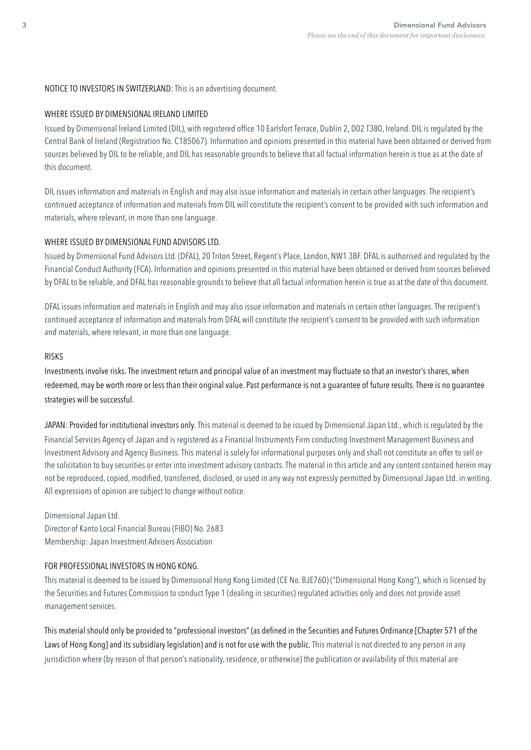# NOTICE TO INVESTORS IN SWITZERLAND: This is an advertising document.

### WHERE ISSUED BY DIMENSIONAL IRELAND LIMITED

Issued by Dimensional Ireland Limited (DIL), with registered office 10 Earlsfort Terrace, Dublin 2, D02 T380, Ireland. DIL is regulated by the Central Bank of Ireland (Registration No. C185067). Information and opinions presented in this material have been obtained or derived from sources believed by DIL to be reliable, and DIL has reasonable grounds to believe that all factual information herein is true as at the date of this document.

DIL issues information and materials in English and may also issue information and materials in certain other languages. The recipient's continued acceptance of information and materials from DIL will constitute the recipient's consent to be provided with such information and materials, where relevant, in more than one language.

# WHERE ISSUED BY DIMENSIONAL FUND ADVISORS LTD.

Issued by Dimensional Fund Advisors Ltd. (DFAL), 20 Triton Street, Regent's Place, London, NW1 3BF. DFAL is authorised and regulated by the Financial Conduct Authority (FCA). Information and opinions presented in this material have been obtained or derived from sources believed by DFAL to be reliable, and DFAL has reasonable grounds to believe that all factual information herein is true as at the date of this document.

DFAL issues information and materials in English and may also issue information and materials in certain other languages. The recipient's continued acceptance of information and materials from DFAL will constitute the recipient's consent to be provided with such information and materials, where relevant, in more than one language.

#### RISKS

Investments involve risks. The investment return and principal value of an investment may fuctuate so that an investor's shares, when redeemed, may be worth more or less than their original value. Past performance is not a guarantee of future results. There is no guarantee strategies will be successful.

JAPAN: Provided for institutional investors only. This material is deemed to be issued by Dimensional Japan Ltd., which is regulated by the Financial Services Agency of Japan and is registered as a Financial Instruments Firm conducting Investment Management Business and Investment Advisory and Agency Business. This material is solely for informational purposes only and shall not constitute an offer to sell or the solicitation to buy securities or enter into investment advisory contracts. The material in this article and any content contained herein may not be reproduced, copied, modifed, transferred, disclosed, or used in any way not expressly permitted by Dimensional Japan Ltd. in writing. All expressions of opinion are subject to change without notice.

Dimensional Japan Ltd. Director of Kanto Local Financial Bureau (FIBO) No. 2683 Membership: Japan Investment Advisers Association

# FOR PROFESSIONAL INVESTORS IN HONG KONG.

This material is deemed to be issued by Dimensional Hong Kong Limited (CE No. BJE760) ("Dimensional Hong Kong"), which is licensed by the Securities and Futures Commission to conduct Type 1 (dealing in securities) regulated activities only and does not provide asset management services.

This material should only be provided to "professional investors" (as defined in the Securities and Futures Ordinance [Chapter 571 of the Laws of Hong Kong] and its subsidiary legislation) and is not for use with the public. This material is not directed to any person in any jurisdiction where (by reason of that person's nationality, residence, or otherwise) the publication or availability of this material are